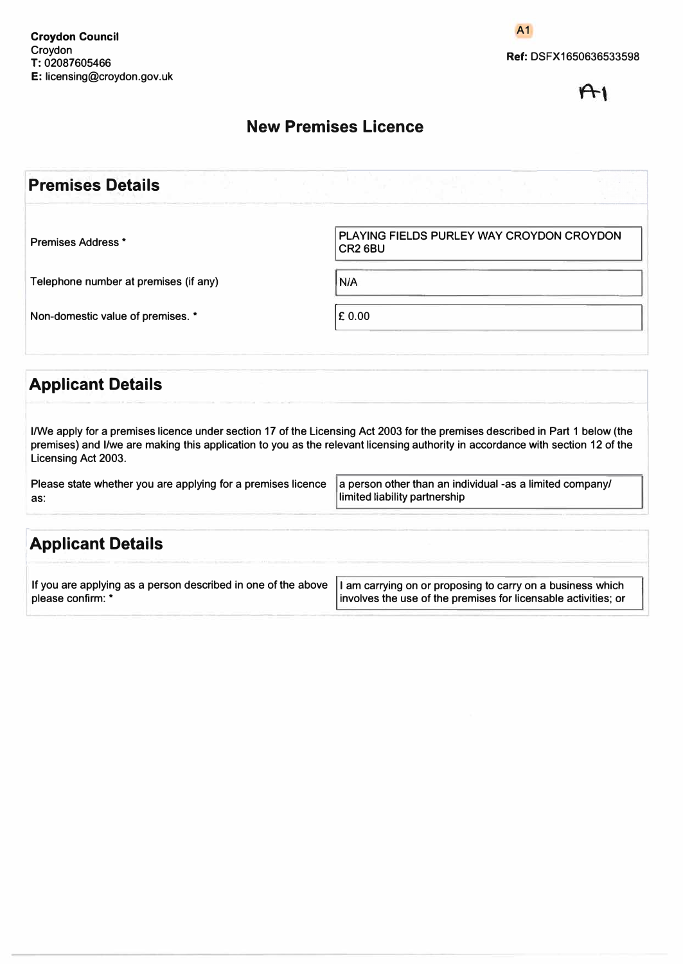**A1** 

 $A<sub>1</sub>$ 

### **New Premises Licence**

| <b>Premises Details</b>               |                                                                  |
|---------------------------------------|------------------------------------------------------------------|
| <b>Premises Address *</b>             | PLAYING FIELDS PURLEY WAY CROYDON CROYDON<br>CR <sub>2</sub> 6BU |
| Telephone number at premises (if any) | N/A                                                              |
| Non-domestic value of premises. *     | $E$ 0.00                                                         |
| <b>Applicant Details</b>              |                                                                  |

**I/We apply for a premises licence under section 17 of the Licensing Act 2003 for the premises described in Part 1 below (the premises) and I/we are making this application to you as the relevant licensing authority in accordance with section 12 of the Licensing Act 2003.** 

| Please state whether you are applying for a premises licence  a person other than an individual -as a limited company/ |                               |
|------------------------------------------------------------------------------------------------------------------------|-------------------------------|
| as:                                                                                                                    | limited liability partnership |

| <b>Applicant Details</b>                                      |                                                                |
|---------------------------------------------------------------|----------------------------------------------------------------|
| If you are applying as a person described in one of the above | I am carrying on or proposing to carry on a business which     |
| please confirm: *                                             | involves the use of the premises for licensable activities; or |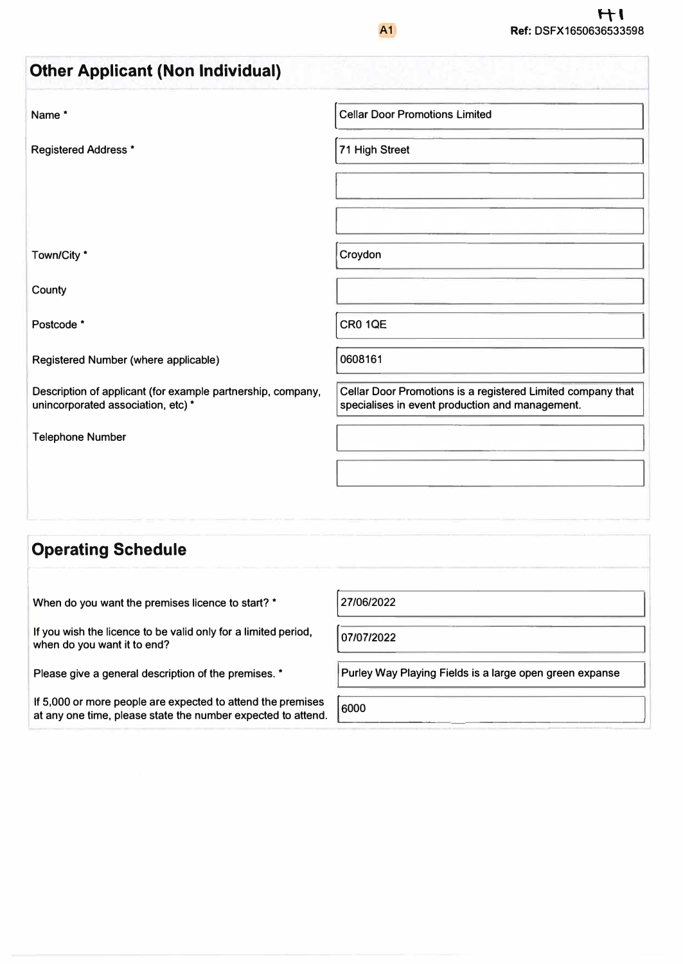| <b>Other Applicant (Non Individual)</b>                                                           |                                                                                                                |
|---------------------------------------------------------------------------------------------------|----------------------------------------------------------------------------------------------------------------|
| Name*                                                                                             | <b>Cellar Door Promotions Limited</b>                                                                          |
| <b>Registered Address *</b>                                                                       | 71 High Street                                                                                                 |
|                                                                                                   |                                                                                                                |
|                                                                                                   |                                                                                                                |
| Town/City *                                                                                       | Croydon                                                                                                        |
| County                                                                                            |                                                                                                                |
| Postcode *                                                                                        | <b>CR0 1QE</b>                                                                                                 |
| Registered Number (where applicable)                                                              | 0608161                                                                                                        |
| Description of applicant (for example partnership, company,<br>unincorporated association, etc) * | Cellar Door Promotions is a registered Limited company that<br>specialises in event production and management. |
| <b>Telephone Number</b>                                                                           |                                                                                                                |
|                                                                                                   |                                                                                                                |
|                                                                                                   |                                                                                                                |

# **Operating Schedule**

| When do you want the premises licence to start? * |  |
|---------------------------------------------------|--|
|---------------------------------------------------|--|

**If you wish the licence to be valid only for a limited period, when do you want it to end?** 

**Please give a general description of the premises. \*** 

**If** 5,000 **or more people are expected to attend the premises**  at any one time, please state the number expected to attend.

*101,01,2022* 

**Purley Way Playing Fields is a large open green expanse** 

\_\_\_\_\_\_ \_\_\_\_\_\_\_\_\_\_\_\_\_ \_.

6 0 0 0  $\overline{a}$  $\overline{a}$ 

\_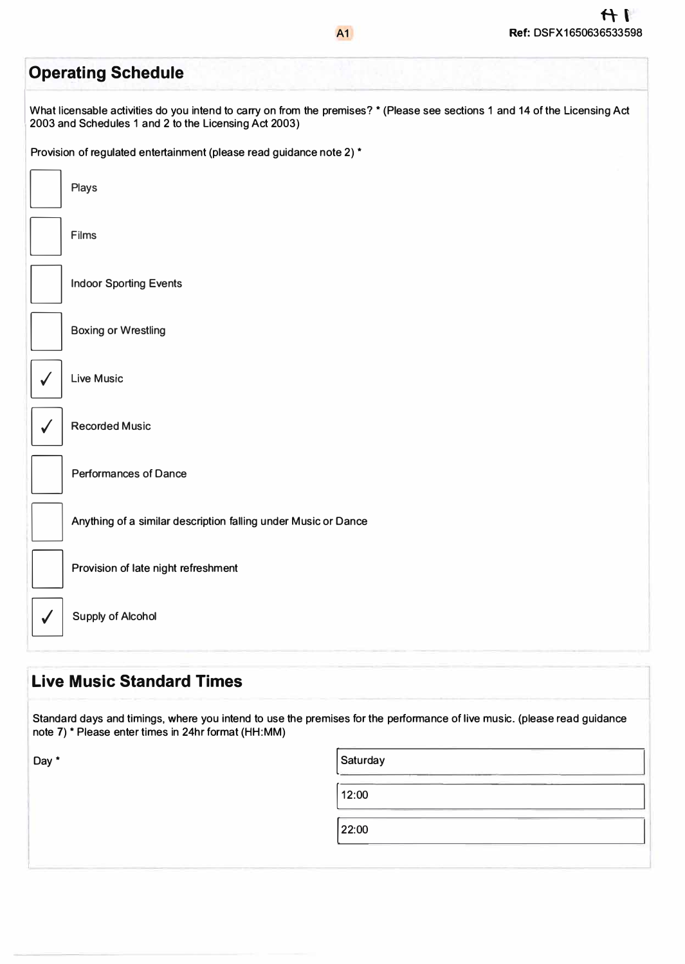| <b>Operating Schedule</b>                                                                                                                                                             |
|---------------------------------------------------------------------------------------------------------------------------------------------------------------------------------------|
| What licensable activities do you intend to carry on from the premises? * (Please see sections 1 and 14 of the Licensing Act<br>2003 and Schedules 1 and 2 to the Licensing Act 2003) |
| Provision of regulated entertainment (please read guidance note 2) *                                                                                                                  |
| <b>Plays</b>                                                                                                                                                                          |
| Films                                                                                                                                                                                 |
| <b>Indoor Sporting Events</b>                                                                                                                                                         |
| <b>Boxing or Wrestling</b>                                                                                                                                                            |
| <b>Live Music</b>                                                                                                                                                                     |
| <b>Recorded Music</b>                                                                                                                                                                 |
| <b>Performances of Dance</b>                                                                                                                                                          |
| Anything of a similar description falling under Music or Dance                                                                                                                        |
| Provision of late night refreshment                                                                                                                                                   |
| <b>Supply of Alcohol</b>                                                                                                                                                              |
|                                                                                                                                                                                       |

## **Live Music Standard Times**

**Standard days and timings, where you intend to use the premises for the performance of live music. (please read guidance note 7)" Please enter times in 24hr format (HH:MM)** 

| Day * | Saturday |  |
|-------|----------|--|
|       | 12:00    |  |
|       | 22:00    |  |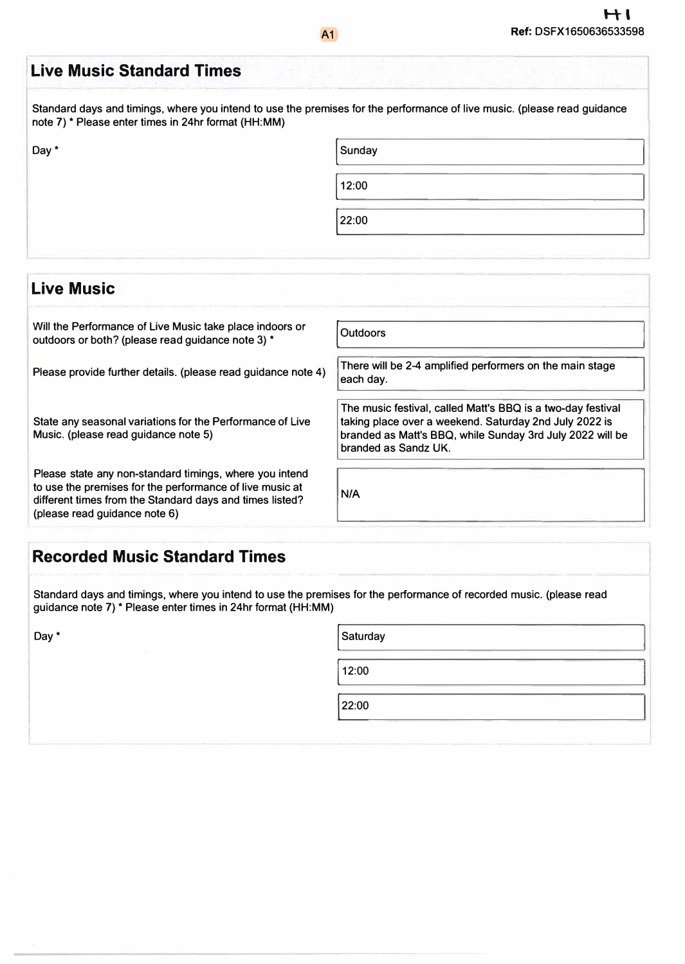| <b>Live Music Standard Times</b>                                                                                                                                                |                                                                       |
|---------------------------------------------------------------------------------------------------------------------------------------------------------------------------------|-----------------------------------------------------------------------|
| Standard days and timings, where you intend to use the premises for the performance of live music. (please read guidance<br>note 7) * Please enter times in 24hr format (HH:MM) |                                                                       |
| Day *                                                                                                                                                                           | Sunday                                                                |
|                                                                                                                                                                                 | 12:00                                                                 |
|                                                                                                                                                                                 | 22:00                                                                 |
|                                                                                                                                                                                 |                                                                       |
| <b>Live Music</b>                                                                                                                                                               |                                                                       |
| Will the Performance of Live Music take place indoors or<br>outdoors or both? (please read guidance note 3) *                                                                   | <b>Outdoors</b>                                                       |
| Please provide further details. (please read guidance note 4)                                                                                                                   | There will be 2-4 amplified performers on the main stage<br>each day. |

**Please state any non-standard timings, where you intend to use the premises for the performance of live music at different times from the Standard days and times listed? (please read guidance note 6)** 

| The music festival, called Matt's BBQ is a two-day festival<br>taking place over a weekend. Saturday 2nd July 2022 is<br>branded as Matt's BBQ, while Sunday 3rd July 2022 will be<br>branded as Sandz UK. |
|------------------------------------------------------------------------------------------------------------------------------------------------------------------------------------------------------------|
|                                                                                                                                                                                                            |

#### **Recorded Music Standard Times**

**Standard days and timings, where you intend to use the premises for the performance of recorded music. (please read guidance note 7) \* Please enter times in 24hr format (HH:MM)** 

| Day * | Saturday                                                        |
|-------|-----------------------------------------------------------------|
|       | 12:00                                                           |
|       | the control of the control of the control of<br>______<br>22:00 |
|       | <b>Contract Contract</b>                                        |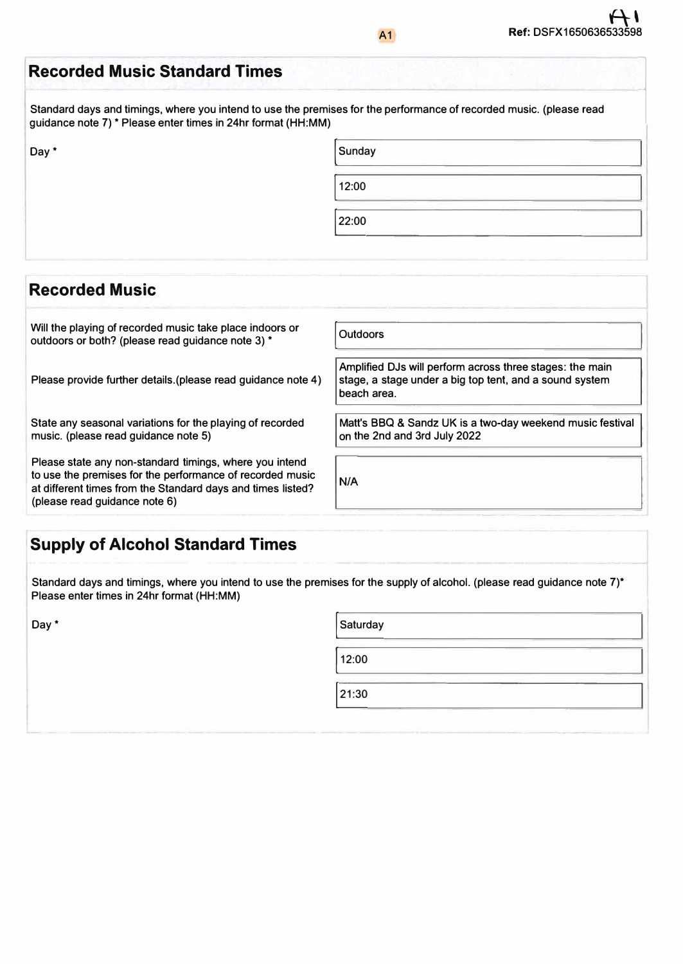| <b>Recorded Music Standard Times</b>                         |                                                                                                                     |
|--------------------------------------------------------------|---------------------------------------------------------------------------------------------------------------------|
| guidance note 7) * Please enter times in 24hr format (HH:MM) | Standard days and timings, where you intend to use the premises for the performance of recorded music. (please read |
| Day *                                                        | Sunday                                                                                                              |
|                                                              | 12:00                                                                                                               |
|                                                              | 22:00                                                                                                               |

#### **Will the playing of recorded music take place indoors or j Outdoors outdoors or both? (please read guidance note 3) \* Amplified DJs will perform across three stages: the main Please provide further details.(please read guidance note 4) stage, a stage under a big top tent, and a sound system beach area. State any seasonal variations for the playing of recorded Matt's BBQ & Sandz UK is a two-day weekend music festival music. (please read guidance note 5) on the 2nd and 3rd July 2022 Please state any non-standard timings, where you intend to use the premises for the performance of recorded music**  $N/A$ **at different times from the Standard days and times listed? (please read guidance note 6)**

# **Supply of Alcohol Standard Times**

**Standard days and timings, where you intend to use the premises for the supply of alcohol. (please read guidance note 7)\* Please enter times in 24hr format (HH:MM)** 

**Recorded Music** 

| Day * | Saturday |
|-------|----------|
|       | 12:00    |
|       | 21:30    |
|       | __       |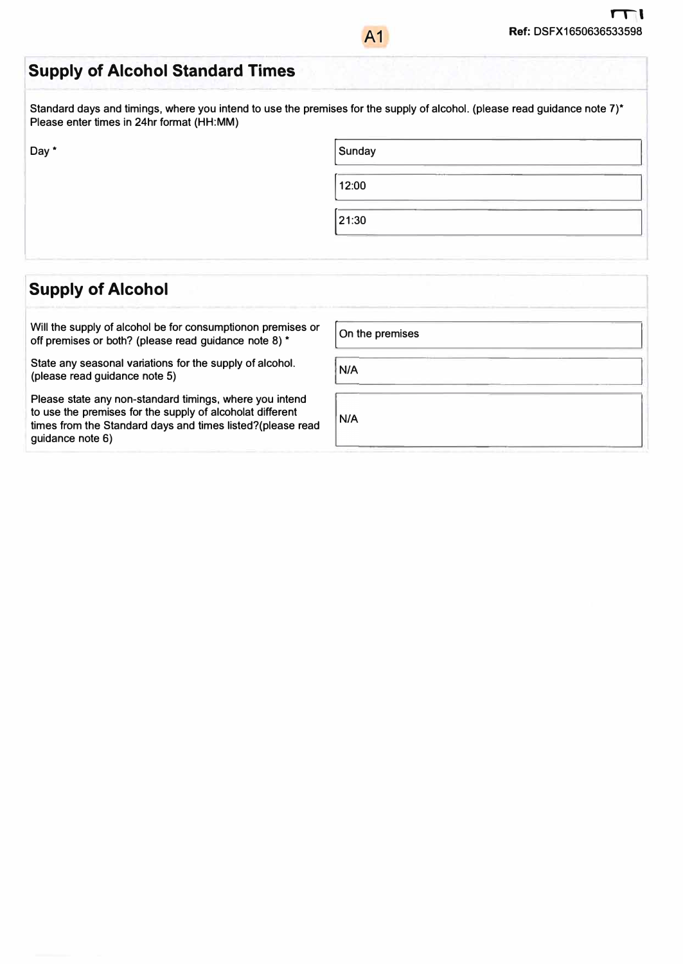### **Supply of Alcohol Standard Times**

**Standard days and timings, where you intend to use the premises for the supply of alcohol. (please read guidance note 7)\* Please enter times in 24hr format (HH:MM)** 

A1

**Day\*** 

| Sunday |  |
|--------|--|
| 12:00  |  |
| 21:30  |  |

#### **Supply of Alcohol**

Will the supply of alcohol be for consumptionon premises or **off premises or both? (please read guidance note 8) \*** 

**State any seasonal variations for the supply of alcohol. (please read guidance note 5)** 

**Please state any non-standard timings, where you intend to use the premises for the supply of alcoholat different times from the Standard days and times listed?(please read guidance note 6)**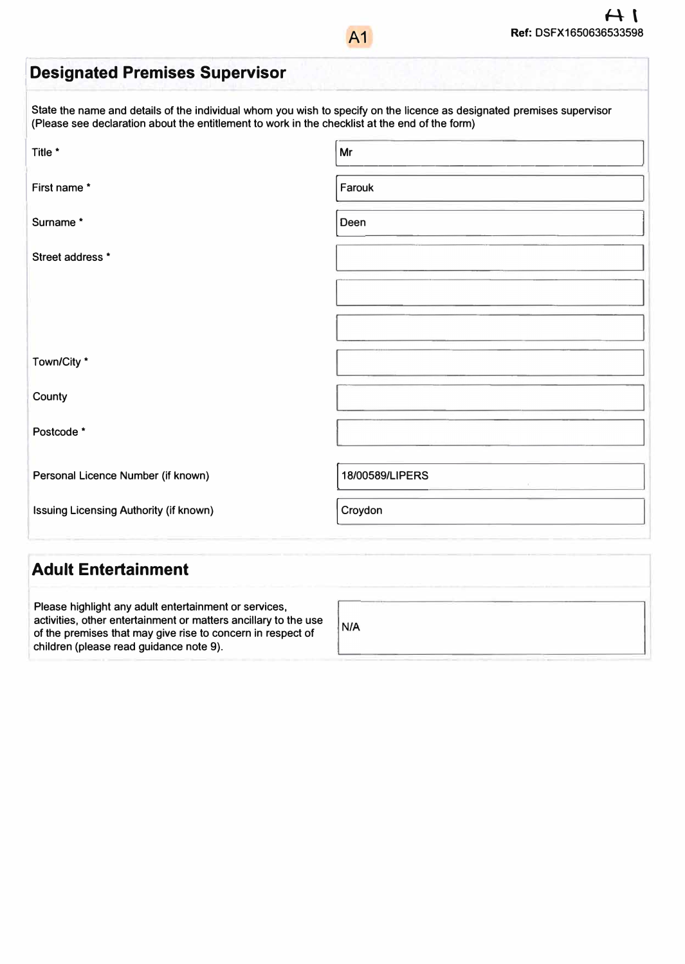# **Designated Premises Supervisor**

**State the name and details of the individual whom you wish to specify on the licence as designated premises supervisor (Please see declaration about the entitlement to work in the checklist at the end of the form)** 

| Title *                                | Mr                                      |  |
|----------------------------------------|-----------------------------------------|--|
| First name*                            | Farouk                                  |  |
| Surname*                               | Deen                                    |  |
| Street address *                       |                                         |  |
|                                        |                                         |  |
|                                        |                                         |  |
| Town/City *                            |                                         |  |
| County                                 |                                         |  |
| Postcode *                             |                                         |  |
| Personal Licence Number (if known)     | 18/00589/LIPERS<br>$\mathcal{L}(\cdot)$ |  |
| Issuing Licensing Authority (if known) | Croydon                                 |  |
| Adult Entertainment                    |                                         |  |

#### **Adult Entertainment**

**Please highlight any adult entertainment or services, activities, other entertainment or matters ancillary to the use of the premises that may give rise to concern in respect of children (please read guidance note 9).** 

 $N/A$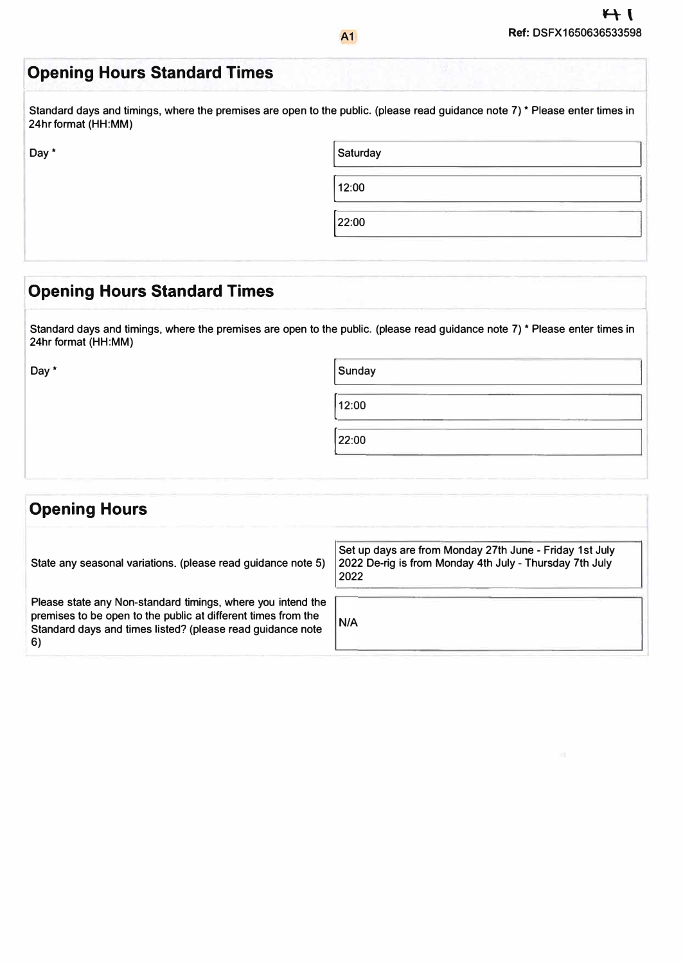l<sub>i</sub>

# **Opening Hours Standard Times**

Standard days and timings, where the premises are open to the public. (please read guidance note 7) \* Please enter times in 24hr format (HH:MM)

| Day * | Saturday |  |
|-------|----------|--|
|       | 12:00    |  |
|       | 22:00    |  |

### **I Opening Hours Standard Times**

Standard days and timings, where the premises are open to the public. (please read guidance note 7) \* Please enter times in 24hr format (HH:MM)

Day\*

| Sunday |  |
|--------|--|
| 12:00  |  |
| 22:00  |  |

| <b>Opening Hours</b>                                                                                                                                                                             |                                                                                                                            |
|--------------------------------------------------------------------------------------------------------------------------------------------------------------------------------------------------|----------------------------------------------------------------------------------------------------------------------------|
| State any seasonal variations. (please read guidance note 5)                                                                                                                                     | Set up days are from Monday 27th June - Friday 1st July<br>2022 De-rig is from Monday 4th July - Thursday 7th July<br>2022 |
| Please state any Non-standard timings, where you intend the<br>premises to be open to the public at different times from the<br>Standard days and times listed? (please read guidance note<br>6) | N/A                                                                                                                        |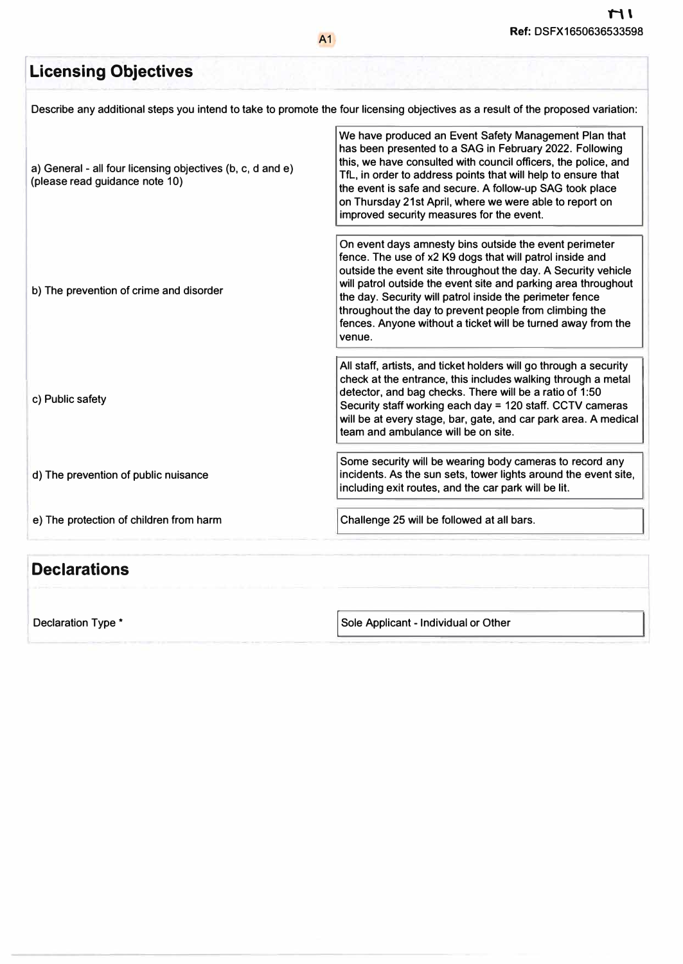#### **r Licensing Objectives Describe any additional steps you intend to take to promote the four licensing objectives as a result of the proposed variation: I a) General - all four licensing objectives (b, c, d and e) (please read guidance note 10)**  <sup>1</sup>**b) The prevention of crime and disorder We have produced an Event Safety Management Plan that has been presented to a SAG in February 2022. Following this, we have consulted with council officers, the police, and Tfl, in order to address points that will help to ensure that the event is safe and secure. A follow-up SAG took place on Thursday 21st April, where we were able to report on improved security measures for the event. On event days amnesty bins outside the event perimeter fence. The use of x2 K9 dogs that will patrol inside and outside the event site throughout the day. A Security vehicle will patrol outside the event site and parking area throughout the day. Security will patrol inside the perimeter fence throughout the day to prevent people from climbing the**

**venue.** 

**c) Public safety**

**d) The prevention of public nuisance**

**e) The protection of children from harm**

**Challenge 25 will be followed at all bars.** 

**including exit routes, and the car park will be lit.** 

**team and ambulance will be on site.** 

**fences. Anyone without a ticket will be turned away from the** 

**All staff, artists, and ticket holders will go through a security check at the entrance, this includes walking through a metal detector, and bag checks. There will be a ratio of 1 :50 Security staff working each day = 120 staff. CCTV cameras will be at every stage, bar, gate, and car park area. A medical**

**Some security will be wearing body cameras to record any incidents. As the sun sets, tower lights around the event site,**

#### **Declarations**

**Declaration Type\*** 

**I Sole Applicant - Individual or Other**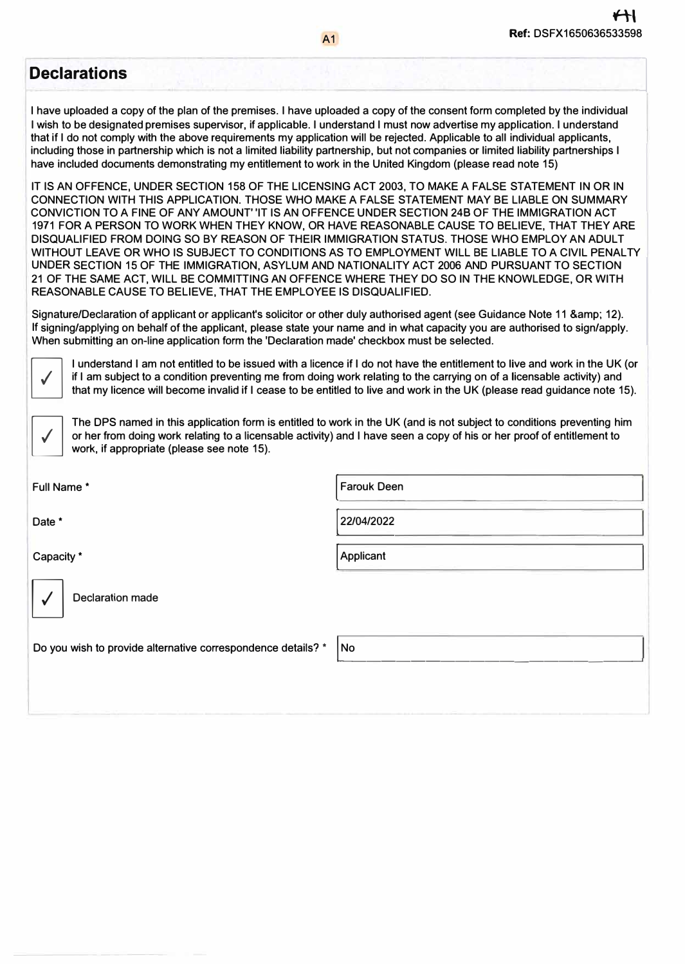j

#### **Declarations**

**I have uploaded a copy of the plan of the premises. I have uploaded a copy of the consent form completed by the individual I wish to be designated premises supervisor, if applicable. I understand I must now advertise my application. I understand that if I do not comply with the above requirements my application will be rejected. Applicable to all individual applicants, including those in partnership which is not a limited liability partnership, but not companies or limited liability partnerships I have included documents demonstrating my entitlement to work in the United Kingdom (please read note 15)** 

**IT IS AN OFFENCE, UNDER SECTION 158 OF THE LICENSING ACT 2003, TO MAKE A FALSE STATEMENT IN OR IN CONNECTION WITH THIS APPLICATION. THOSE WHO MAKE A FALSE STATEMENT MAY BE LIABLE ON SUMMARY CONVICTION TO A FINE OF ANY AMOUNT' 'IT IS AN OFFENCE UNDER SECTION 248 OF THE IMMIGRATION ACT 1971 FOR A PERSON TO WORK WHEN THEY KNOW, OR HAVE REASONABLE CAUSE TO BELIEVE, THAT THEY ARE DISQUALIFIED FROM DOING SO BY REASON OF THEIR IMMIGRATION STATUS. THOSE WHO EMPLOY AN ADULT**  WITHOUT LEAVE OR WHO IS SUBJECT TO CONDITIONS AS TO EMPLOYMENT WILL BE LIABLE TO A CIVIL PENALTY **UNDER SECTION 15 OF THE IMMIGRATION, ASYLUM AND NATIONALITY ACT 2006 AND PURSUANT TO SECTION 21 OF THE SAME ACT, WILL BE COMMITTING AN OFFENCE WHERE THEY DO SO IN THE KNOWLEDGE, OR WITH REASONABLE CAUSE TO BELIEVE, THAT THE EMPLOYEE IS DISQUALIFIED.** 

Signature/Declaration of applicant or applicant's solicitor or other duly authorised agent (see Guidance Note 11 & amp; 12). **If signing/applying on behalf of the applicant, please state your name and in what capacity you are authorised to sign/apply. When submitting an on-line application form the 'Declaration made' checkbox must be selected.** 

 $\sqrt{2}$ 

**I understand I am not entitled to be issued with a licence if I do not have the entitlement to live and work in the UK (or if I am subject to a condition preventing me from doing work relating to the carrying on of a licensable activity) and that my licence will become invalid if I cease to be entitled to live and work in the UK (please read guidance note 15).** 

**The DPS named in this application form is entitled to work in the UK (and is not subject to conditions preventing him or her from doing work relating to a licensable activity) and I have seen a copy of his or her proof of entitlement to work, if appropriate (please see note 15).** 

| Full Name*                                                   | <b>Farouk Deen</b> |
|--------------------------------------------------------------|--------------------|
| Date *                                                       | 22/04/2022         |
| Capacity <sup>*</sup>                                        | Applicant          |
| <b>Declaration made</b>                                      |                    |
| Do you wish to provide alternative correspondence details? * | No                 |
|                                                              |                    |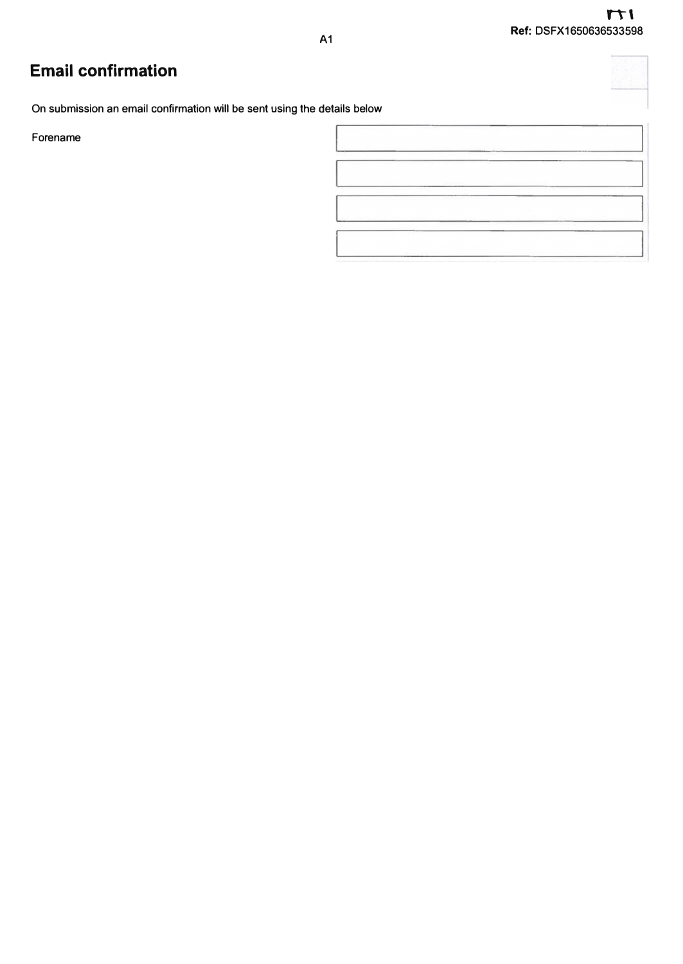# **Email confirmation**

**On submission an email confirmation will be sent using the details below** 

**Forename** 

| <b><i>PERMIT AND PROPERTY</i></b> | the contract of the contract of the contract of the contract of the contract of the contract of the contract of<br>[1] 이 사이 아이들은 아이들은 아이들 사이에 대한 것이 아이들이 아이들이 아이들이 아이들이 있다. | the first process of the company of the company of |
|-----------------------------------|-----------------------------------------------------------------------------------------------------------------------------------------------------------------------------|----------------------------------------------------|

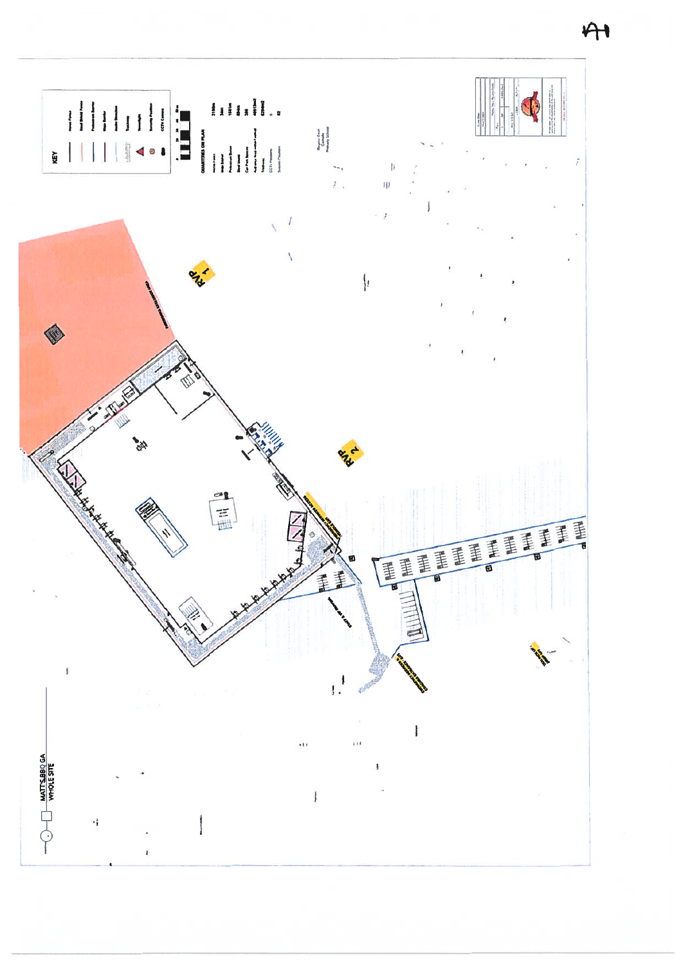